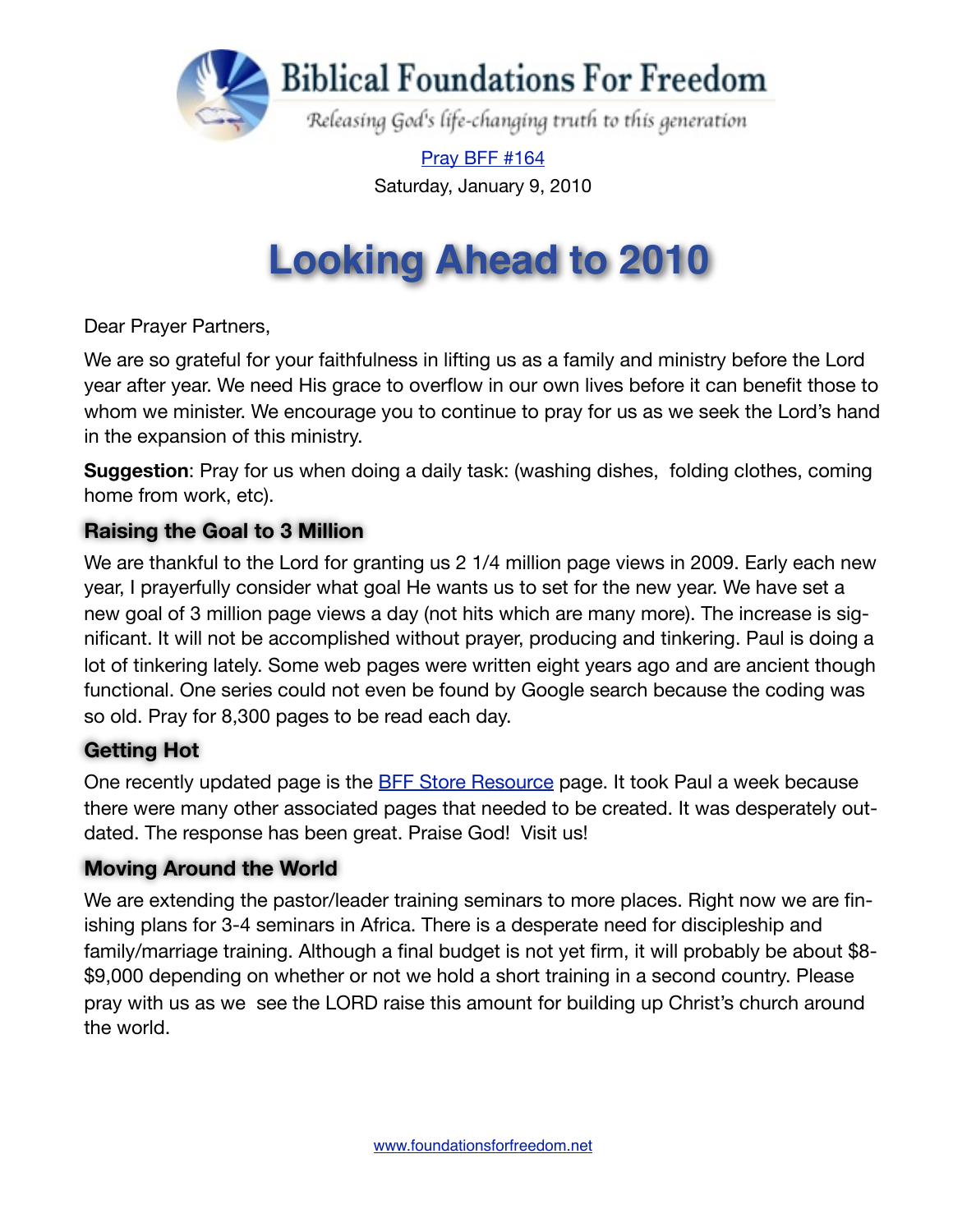

[Pray BFF #164](http://www.foundationsforfreedom.net/Help/TeamsF/Pray/Archives/Pray2009/pdf/PrayBFF163.pdf) Saturday, January 9, 2010

# **Looking Ahead to 2010**

Dear Prayer Partners,

We are so grateful for your faithfulness in lifting us as a family and ministry before the Lord year after year. We need His grace to overflow in our own lives before it can benefit those to whom we minister. We encourage you to continue to pray for us as we seek the Lord's hand in the expansion of this ministry.

**Suggestion**: Pray for us when doing a daily task: (washing dishes, folding clothes, coming home from work, etc).

## **Raising the Goal to 3 Million**

We are thankful to the Lord for granting us 2 1/4 million page views in 2009. Early each new year, I prayerfully consider what goal He wants us to set for the new year. We have set a new goal of 3 million page views a day (not hits which are many more). The increase is significant. It will not be accomplished without prayer, producing and tinkering. Paul is doing a lot of tinkering lately. Some web pages were written eight years ago and are ancient though functional. One series could not even be found by Google search because the coding was so old. Pray for 8,300 pages to be read each day.

## **Getting Hot**

One recently updated page is the [BFF Store Resource](http://www.foundationsforfreedom.net/Help/Store/Shop_BFF.html) page. It took Paul a week because there were many other associated pages that needed to be created. It was desperately outdated. The response has been great. Praise God! Visit us!

#### **Moving Around the World**

We are extending the pastor/leader training seminars to more places. Right now we are finishing plans for 3-4 seminars in Africa. There is a desperate need for discipleship and family/marriage training. Although a final budget is not yet firm, it will probably be about \$8- \$9,000 depending on whether or not we hold a short training in a second country. Please pray with us as we see the LORD raise this amount for building up Christ's church around the world.